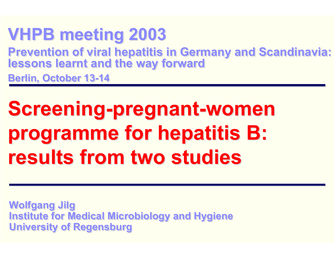### **VHPB meeting 2003 VHPB meeting 2003**

**Prevention of viral hepatitis in Germany and Scandinavia: lessons learnt and the way forward Prevention of viral hepatitis in Germany and Scandinavia: lessons learnt and the way forward**

**Berlin, October 13-14 Berlin, October 13-14**

# **Screening-pregnant-women Screening-pregnant-women programme for hepatitis B: programme for hepatitis B: results from two studiesresults from two studies**

**Wolfgang Jilg Wolfgang Jilg Institute for Medical Microbiology and Hygiene Institute for Medical Microbiology and Hygiene University of Regensburg University of Regensburg**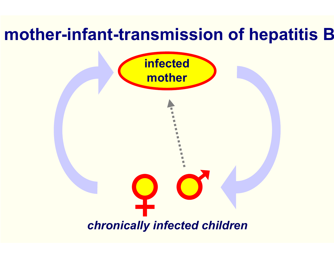### **mother-infant-transmission of hepatitis B**

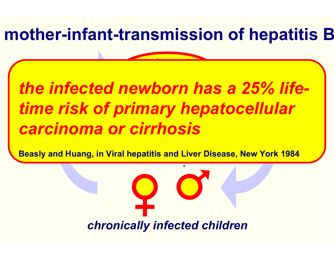### **mother-infant-transmission of hepatitis B**

**infection** 

### *the infected newborn has a 25% lifetime risk of primary hepatocellular carcinoma or cirrhosis*

**Beasly and Huang, in Viral hepatitis and Liver Disease, New York 1984**

*chronically infected children*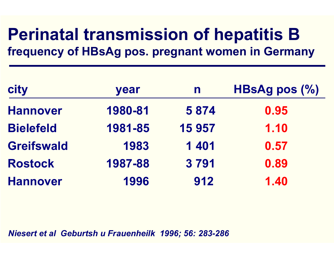### **Perinatal transmission of hepatitis B frequency of HBsAg pos. pregnant women in Germany**

| <b>city</b>       | year    | $\mathbf n$ | HBsAg pos $(\% )$ |
|-------------------|---------|-------------|-------------------|
| <b>Hannover</b>   | 1980-81 | 5 8 7 4     | 0.95              |
| <b>Bielefeld</b>  | 1981-85 | 15 957      | 1.10              |
| <b>Greifswald</b> | 1983    | 1401        | 0.57              |
| <b>Rostock</b>    | 1987-88 | 3791        | 0.89              |
| <b>Hannover</b>   | 1996    | 912         | 1.40              |

*Niesert et al Geburtsh u Frauenheilk 1996; 56: 283-286*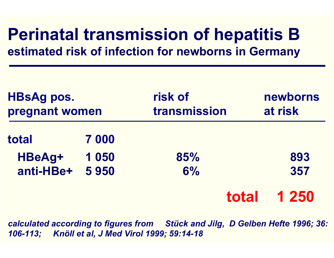### **Perinatal transmission of hepatitis B estimated risk of infection for newborns in Germany**

| <b>HBsAg pos.</b><br>pregnant women |      | risk of<br>transmission |       | newborns<br>at risk |
|-------------------------------------|------|-------------------------|-------|---------------------|
| total                               | 7000 |                         |       |                     |
| HBeAg+                              | 1050 | 85%                     |       | 893                 |
| anti-HBe+                           | 5950 | 6%                      |       | 357                 |
|                                     |      |                         | total | 1 250               |

*calculated according to figures from Stück and Jilg, D Gelben Hefte 1996; 36: 106-113; Knöll et al, J Med Virol 1999; 59:14-18*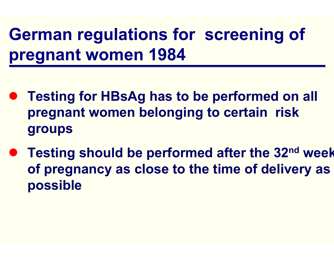# **German regulations for screening of pregnant women 1984**

- **Testing for HBsAg has to be performed on all pregnant women belonging to certain risk groups**
- z **Testing should be performed after the 32nd week of pregnancy as close to the time of delivery as possible**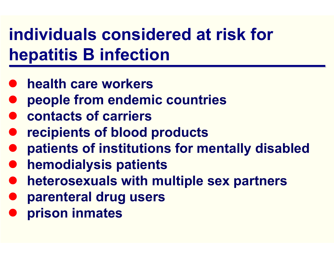# **individuals considered at risk for hepatitis B infection**

- $\bullet$ **health care workers**
- $\bullet$ **people from endemic countries**
- $\bullet$ **contacts of carriers**
- $\bullet$ **recipients of blood products**
- $\bullet$ **patients of institutions for mentally disabled**
- $\bullet$ **hemodialysis patients**
- $\bullet$ **heterosexuals with multiple sex partners**
- $\bullet$ **parenteral drug users**
- $\bullet$ **prison inmates**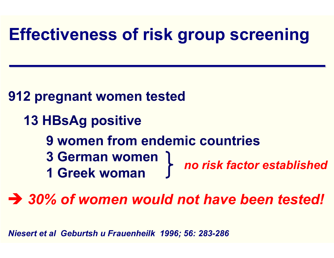### **Effectiveness of risk group screening**

#### **912 pregnant women tested**

- **13 HBsAg positive** 
	- **9 women from endemic countries**
	- **3 German women 1 Greek woman**  *no risk factor established*

 $\rightarrow$  30% of women would not have been tested!

*Niesert et al Geburtsh u Frauenheilk 1996; 56: 283-286*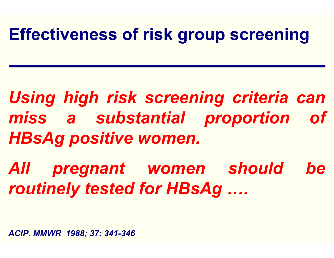### **Effectiveness of risk group screening**

*Using high risk screening criteria can miss a substantial proportion of HBsAg positive women.*

*All pregnant women should be routinely tested for HBsAg ….* 

*ACIP. MMWR 1988; 37: 341-346*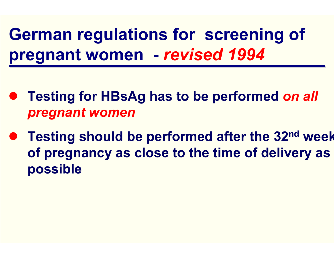**German regulations for screening of pregnant women -** *revised 1994*

- **Testing for HBsAg has to be performed on all** *pregnant women*
- z **Testing should be performed after the 32nd week of pregnancy as close to the time of delivery as possible**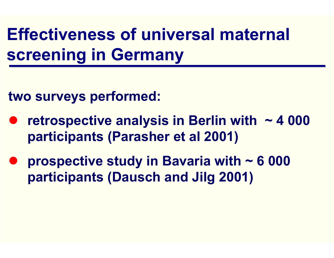# **Effectiveness of universal maternal screening in Germany**

**two surveys performed:**

- $\bullet$  **retrospective analysis in Berlin with ~ 4 000 participants (Parasher et al 2001)**
- $\bullet$  **prospective study in Bavaria with ~ 6 000 participants (Dausch and Jilg 2001)**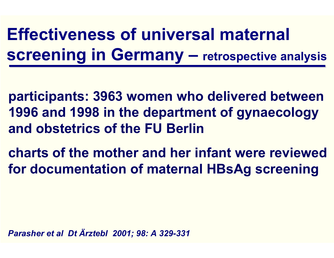**participants: 3963 women who delivered between 1996 and 1998 in the department of gynaecology and obstetrics of the FU Berlin** 

**charts of the mother and her infant were reviewed for documentation of maternal HBsAg screening**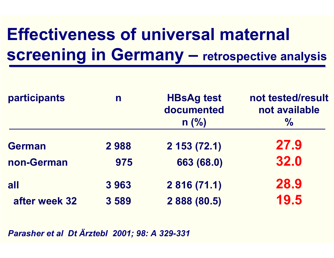| participants  | n    | <b>HBsAg test</b><br>documented<br>$n$ (%) | not tested/result<br>not available<br>$\frac{0}{0}$ |
|---------------|------|--------------------------------------------|-----------------------------------------------------|
| <b>German</b> | 2988 | $2$ 153 (72.1)                             | 27.9                                                |
| non-German    | 975  | 663 (68.0)                                 | 32.0                                                |
| all           | 3963 | 2 816 (71.1)                               | 28.9                                                |
| after week 32 | 3589 | 2 888 (80.5)                               | 19.5                                                |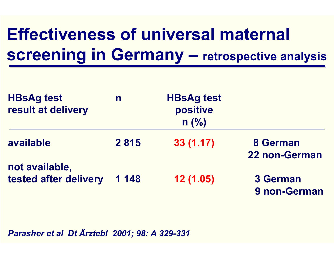| <b>HBsAg test</b><br>result at delivery | n       | <b>HBsAg test</b><br>positive<br>$n$ (%) |                                 |
|-----------------------------------------|---------|------------------------------------------|---------------------------------|
| available                               | 2815    | 33(1.17)                                 | 8 German<br>22 non-German       |
| not available,<br>tested after delivery | 1 1 4 8 | 12(1.05)                                 | <b>3 German</b><br>9 non-German |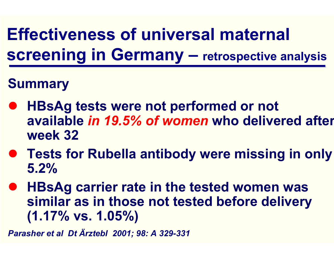#### **Summary**

- $\bullet$  **HBsAg tests were not performed or not available** *in 19.5% of women* **who delivered after week 32**
- **Tests for Rubella antibody were missing in only 5.2%**
- $\bullet$  **HBsAg carrier rate in the tested women was similar as in those not tested before delivery (1.17% vs. 1.05%)**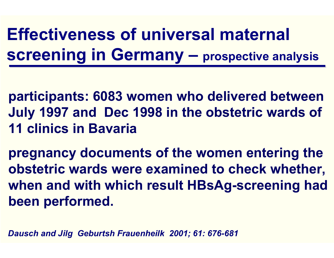**participants: 6083 women who delivered between July 1997 and Dec 1998 in the obstetric wards of 11 clinics in Bavaria**

**pregnancy documents of the women entering the obstetric wards were examined to check whether, when and with which result HBsAg-screening had been performed.**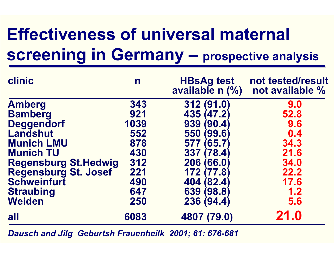| clinic                       | n    | <b>HBsAg test</b><br>available n (%) | not tested/result<br>not available % |
|------------------------------|------|--------------------------------------|--------------------------------------|
| <b>Amberg</b>                | 343  | 312 (91.0)                           | 9.0                                  |
| <b>Bamberg</b>               | 921  | 435 (47.2)                           | 52.8                                 |
| <b>Deggendorf</b>            | 1039 | 939<br>(90.4)                        | 9.6                                  |
| <b>Landshut</b>              | 552  | 550<br>99.6                          | 0.4                                  |
| <b>Munich LMU</b>            | 878  | 577<br>(65.7)                        | 34.3                                 |
| <b>Munich TU</b>             | 430  | 337<br>$(\mathbf{78.4})$             | 21.6                                 |
| <b>Regensburg St. Hedwig</b> | 312  | 206<br>(66.0)                        | 34.0                                 |
| Regensburg St. Josef         | 221  | 172 (<br>(77.8)                      | 22.2                                 |
| <b>Schweinfurt</b>           | 490  | 404 (82.4)                           | 17.6                                 |
| <b>Straubing</b>             | 647  | 639 (98.8)                           | 1.2                                  |
| <b>Weiden</b>                | 250  | 236 (94.4)                           | 5.6                                  |
| all                          | 6083 | 4807 (79.0)                          | 21.0                                 |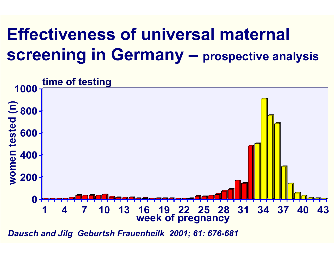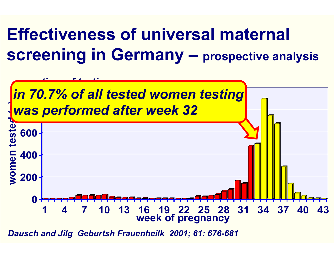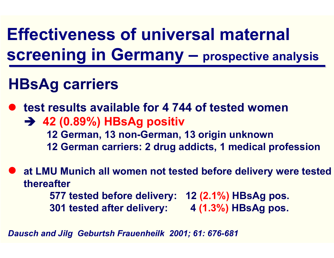### **HBsAg carriers**

**• test results available for 4 744 of tested women → 42 (0.89%) HBsAg positiv 12 German, 13 non-German, 13 origin unknown 12 German carriers: 2 drug addicts, 1 medical profession**

**• at LMU Munich all women not tested before delivery were tested thereafter577 tested before delivery: 12 (2.1%) HBsAg pos. 301 tested after delivery: 4 (1.3%) HBsAg pos.**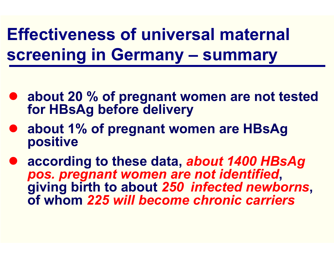**Effectiveness of universal maternal screening in Germany – summary** 

- **about 20 % of pregnant women are not tested for HBsAg before delivery**
- **about 1% of pregnant women are HBsAg positive**
- $\bullet$  **according to these data,** *about 1400 HBsAg pos. pregnant women are not identified***, giving birth to about** *250 infected newborns***, of whom** *225 will become chronic carriers*